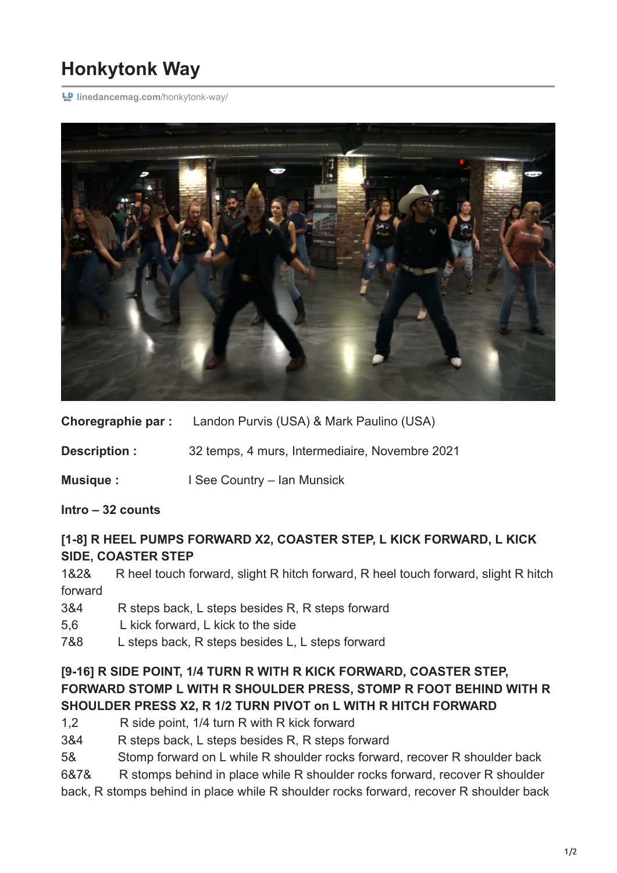# **Honkytonk Way**

**LD** [linedancemag.com](https://www.linedancemag.com/honkytonk-way/)/honkytonk-way/



**Choregraphie par :** Landon Purvis (USA) & Mark Paulino (USA)

**Description :** 32 temps, 4 murs, Intermediaire, Novembre 2021

**Musique : I** See Country – Ian Munsick

**Intro – 32 counts**

## **[1-8] R HEEL PUMPS FORWARD X2, COASTER STEP, L KICK FORWARD, L KICK SIDE, COASTER STEP**

1&2& R heel touch forward, slight R hitch forward, R heel touch forward, slight R hitch forward

- 3&4 R steps back, L steps besides R, R steps forward
- 5,6 L kick forward, L kick to the side
- 7&8 L steps back, R steps besides L, L steps forward

## **[9-16] R SIDE POINT, 1/4 TURN R WITH R KICK FORWARD, COASTER STEP, FORWARD STOMP L WITH R SHOULDER PRESS, STOMP R FOOT BEHIND WITH R SHOULDER PRESS X2, R 1/2 TURN PIVOT on L WITH R HITCH FORWARD**

- 1,2 R side point, 1/4 turn R with R kick forward
- 3&4 R steps back, L steps besides R, R steps forward
- 5& Stomp forward on L while R shoulder rocks forward, recover R shoulder back
- 6&7& R stomps behind in place while R shoulder rocks forward, recover R shoulder

back, R stomps behind in place while R shoulder rocks forward, recover R shoulder back